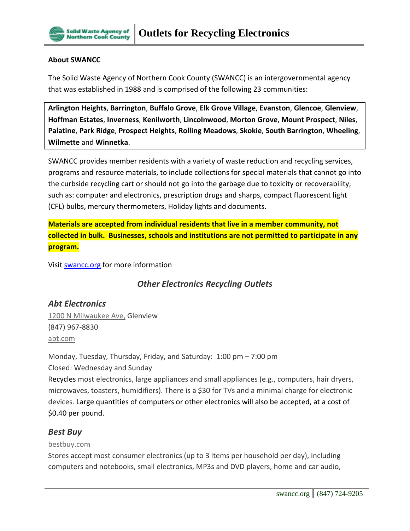

#### **About SWANCC**

The Solid Waste Agency of Northern Cook County (SWANCC) is an intergovernmental agency that was established in 1988 and is comprised of the following 23 communities:

**Arlington Heights**, **Barrington**, **Buffalo Grove**, **Elk Grove Village**, **Evanston**, **Glencoe**, **Glenview**, **Hoffman Estates**, **Inverness**, **Kenilworth**, **Lincolnwood**, **Morton Grove**, **Mount Prospect**, **Niles**, **Palatine**, **Park Ridge**, **Prospect Heights**, **Rolling Meadows**, **Skokie**, **South Barrington**, **Wheeling**, **Wilmette** and **Winnetka**.

SWANCC provides member residents with a variety of waste reduction and recycling services, programs and resource materials, to include collections for special materials that cannot go into the curbside recycling cart or should not go into the garbage due to toxicity or recoverability, such as: computer and electronics, prescription drugs and sharps, compact fluorescent light (CFL) bulbs, mercury thermometers, Holiday lights and documents.

**Materials are accepted from individual residents that live in a member community, not collected in bulk. Businesses, schools and institutions are not permitted to participate in any program.**

Visit **swancc.org** for more information

# *Other Electronics Recycling Outlets*

### *Abt Electronics*

1200 N [Milwaukee](https://www.google.com/maps/place/1200+N+Milwaukee+Ave,+Glenview,+IL+60025/@42.0781657,-87.8630572,17z/data=!3m1!4b1!4m2!3m1!1s0x880fb872daa55fad:0xa6b5237f4174592d) Ave, Glenview (847) 967-8830 [abt.com](http://www.abt.com/green/)

Monday, Tuesday, Thursday, Friday, and Saturday: 1:00 pm – 7:00 pm Closed: Wednesday and Sunday

Recycles most electronics, large appliances and small appliances (e.g., computers, hair dryers, microwaves, toasters, humidifiers). There is a \$30 for TVs and a minimal charge for electronic devices. Large quantities of computers or other electronics will also be accepted, at a cost of \$0.40 per pound.

#### *Best Buy*

#### [bestbuy.com](http://www.bestbuy.com/site/null/Recycling-Electronics/pcmcat149900050025.c?id=pcmcat149900050025&DCMP=rdr0001422)

Stores accept most consumer electronics (up to 3 items per household per day), including computers and notebooks, small electronics, MP3s and DVD players, home and car audio,